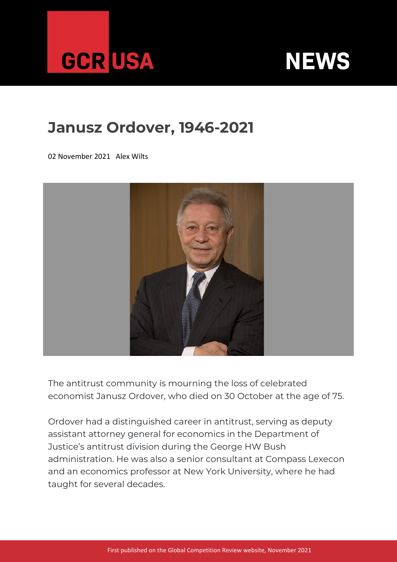



## **Janusz Ordover, 1946-2021**

02 November 2021 Alex Wilts



The antitrust community is mourning the loss of celebrated economist Janusz Ordover, who died on 30 October at the age of 75.

Ordover had a distinguished career in antitrust, serving as deputy assistant attorney general for economics in the Department of Justice's antitrust division during the George HW Bush administration. He was also a senior consultant at Compass Lexecon and an economics professor at New York University, where he had taught for several decades.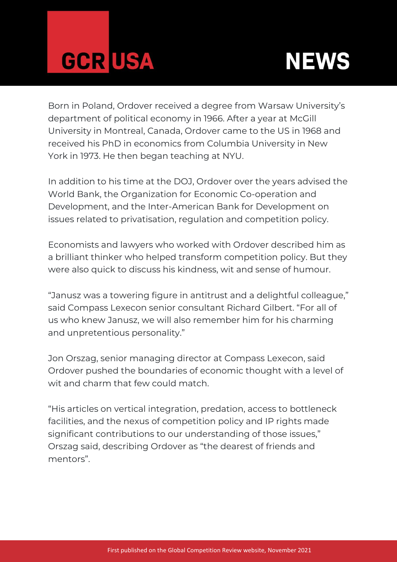



Born in Poland, Ordover received a degree from Warsaw University's department of political economy in 1966. After a year at McGill University in Montreal, Canada, Ordover came to the US in 1968 and received his PhD in economics from Columbia University in New York in 1973. He then began teaching at NYU.

In addition to his time at the DOJ, Ordover over the years advised the World Bank, the Organization for Economic Co-operation and Development, and the Inter-American Bank for Development on issues related to privatisation, regulation and competition policy.

Economists and lawyers who worked with Ordover described him as a brilliant thinker who helped transform competition policy. But they were also quick to discuss his kindness, wit and sense of humour.

"Janusz was a towering figure in antitrust and a delightful colleague," said Compass Lexecon senior consultant Richard Gilbert. "For all of us who knew Janusz, we will also remember him for his charming and unpretentious personality."

Jon Orszag, senior managing director at Compass Lexecon, said Ordover pushed the boundaries of economic thought with a level of wit and charm that few could match.

"His articles on vertical integration, predation, access to bottleneck facilities, and the nexus of competition policy and IP rights made significant contributions to our understanding of those issues," Orszag said, describing Ordover as "the dearest of friends and mentors".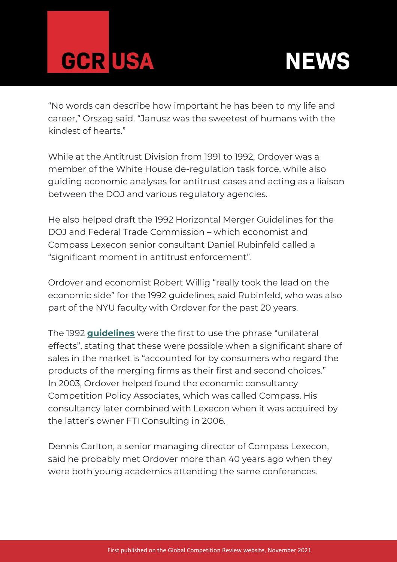



"No words can describe how important he has been to my life and career," Orszag said. "Janusz was the sweetest of humans with the kindest of hearts."

While at the Antitrust Division from 1991 to 1992, Ordover was a member of the White House de-regulation task force, while also guiding economic analyses for antitrust cases and acting as a liaison between the DOJ and various regulatory agencies.

He also helped draft the 1992 Horizontal Merger Guidelines for the DOJ and Federal Trade Commission – which economist and Compass Lexecon senior consultant Daniel Rubinfeld called a "significant moment in antitrust enforcement".

Ordover and economist Robert Willig "really took the lead on the economic side" for the 1992 guidelines, said Rubinfeld, who was also part of the NYU faculty with Ordover for the past 20 years.

The 1992 **[guidelines](https://www.justice.gov/archives/atr/1992-merger-guidelines)** were the first to use the phrase "unilateral effects", stating that these were possible when a significant share of sales in the market is "accounted for by consumers who regard the products of the merging firms as their first and second choices." In 2003, Ordover helped found the economic consultancy Competition Policy Associates, which was called Compass. His consultancy later combined with Lexecon when it was acquired by the latter's owner FTI Consulting in 2006.

Dennis Carlton, a senior managing director of Compass Lexecon, said he probably met Ordover more than 40 years ago when they were both young academics attending the same conferences.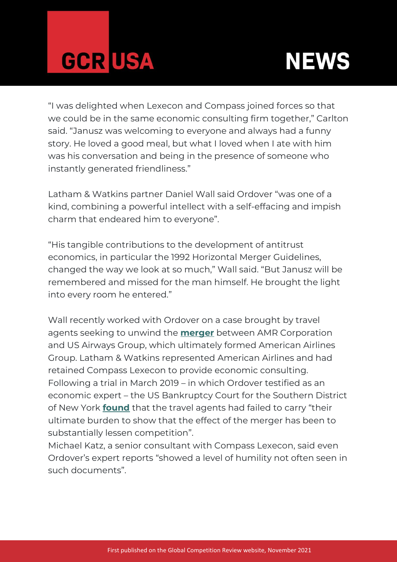



"I was delighted when Lexecon and Compass joined forces so that we could be in the same economic consulting firm together," Carlton said. "Janusz was welcoming to everyone and always had a funny story. He loved a good meal, but what I loved when I ate with him was his conversation and being in the presence of someone who instantly generated friendliness."

Latham & Watkins partner Daniel Wall said Ordover "was one of a kind, combining a powerful intellect with a self-effacing and impish charm that endeared him to everyone".

"His tangible contributions to the development of antitrust economics, in particular the 1992 Horizontal Merger Guidelines, changed the way we look at so much," Wall said. "But Janusz will be remembered and missed for the man himself. He brought the light into every room he entered."

Wall recently worked with Ordover on a case brought by travel agents seeking to unwind the **[merger](https://globalcompetitionreview.com/usaa-gets-green-light)** between AMR Corporation and US Airways Group, which ultimately formed American Airlines Group. Latham & Watkins represented American Airlines and had retained Compass Lexecon to provide economic consulting. Following a trial in March 2019 – in which Ordover testified as an economic expert – the US Bankruptcy Court for the Southern District of New York **[found](https://files.lbr.cloud/public/2021-01/Carolyn-Fjord-AMR-Corporation%20.pdf?ghk_b_Hi3ZN0w6ryN5f8SPT_8lStvfVh=)** that the travel agents had failed to carry "their ultimate burden to show that the effect of the merger has been to substantially lessen competition".

Michael Katz, a senior consultant with Compass Lexecon, said even Ordover's expert reports "showed a level of humility not often seen in such documents".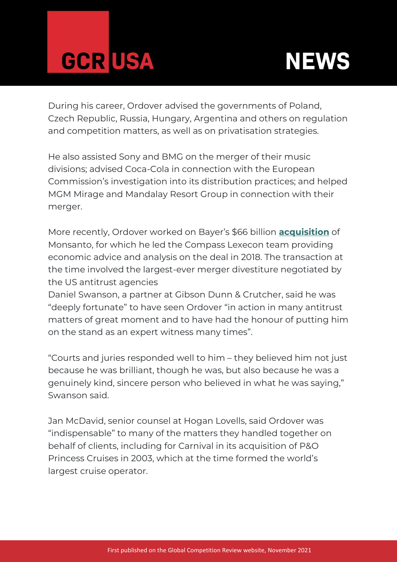



During his career, Ordover advised the governments of Poland, Czech Republic, Russia, Hungary, Argentina and others on regulation and competition matters, as well as on privatisation strategies.

He also assisted Sony and BMG on the merger of their music divisions; advised Coca-Cola in connection with the European Commission's investigation into its distribution practices; and helped MGM Mirage and Mandalay Resort Group in connection with their merger.

More recently, Ordover worked on Bayer's \$66 billion **[acquisition](https://globalcompetitionreview.com/us-doj-specifies-vertical-remedy-bayermonsanto)** of Monsanto, for which he led the Compass Lexecon team providing economic advice and analysis on the deal in 2018. The transaction at the time involved the largest-ever merger divestiture negotiated by the US antitrust agencies

Daniel Swanson, a partner at Gibson Dunn & Crutcher, said he was "deeply fortunate" to have seen Ordover "in action in many antitrust matters of great moment and to have had the honour of putting him on the stand as an expert witness many times".

"Courts and juries responded well to him – they believed him not just because he was brilliant, though he was, but also because he was a genuinely kind, sincere person who believed in what he was saying," Swanson said.

Jan McDavid, senior counsel at Hogan Lovells, said Ordover was "indispensable" to many of the matters they handled together on behalf of clients, including for Carnival in its acquisition of P&O Princess Cruises in 2003, which at the time formed the world's largest cruise operator.